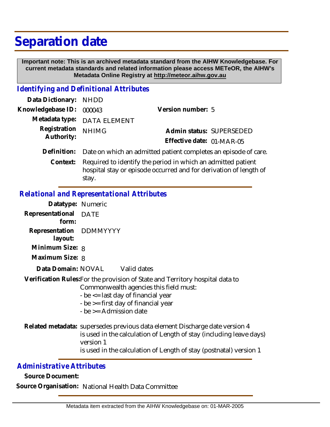# **Separation date**

 **Important note: This is an archived metadata standard from the AIHW Knowledgebase. For current metadata standards and related information please access METeOR, the AIHW's Metadata Online Registry at http://meteor.aihw.gov.au**

## *Identifying and Definitional Attributes*

| Data Dictionary: NHDD      |                                                                 |                                                                                                                                   |  |
|----------------------------|-----------------------------------------------------------------|-----------------------------------------------------------------------------------------------------------------------------------|--|
| Knowledgebase ID:          | 000043                                                          | Version number: 5                                                                                                                 |  |
|                            | Metadata type: DATA ELEMENT                                     |                                                                                                                                   |  |
| Registration<br>Authority: | <b>NHIMG</b>                                                    | Admin status: SUPERSEDED                                                                                                          |  |
|                            |                                                                 | Effective date: 01-MAR-05                                                                                                         |  |
| Definition:                | Date on which an admitted patient completes an episode of care. |                                                                                                                                   |  |
| Context:                   |                                                                 | Required to identify the period in which an admitted patient<br>hospital stay or episode occurred and for derivation of length of |  |

### *Relational and Representational Attributes*

stay.

| Datatype: Numeric                  |      |             |
|------------------------------------|------|-------------|
| Representational<br>form:          | DATE |             |
| Representation DDMMYYYY<br>layout: |      |             |
| Minimum Size: 8                    |      |             |
| Maximum Size: 8                    |      |             |
| Data Domain: NOVAL                 |      | Valid dates |

Verification Rules:For the provision of State and Territory hospital data to Commonwealth agencies this field must:

- be <= last day of financial year
- be >= first day of financial year
- be >= Admission date

Related metadata: supersedes previous data element Discharge date version 4 is used in the calculation of Length of stay (including leave days) version 1 is used in the calculation of Length of stay (postnatal) version 1

#### *Administrative Attributes*

**Source Document:**

**Source Organisation:** National Health Data Committee